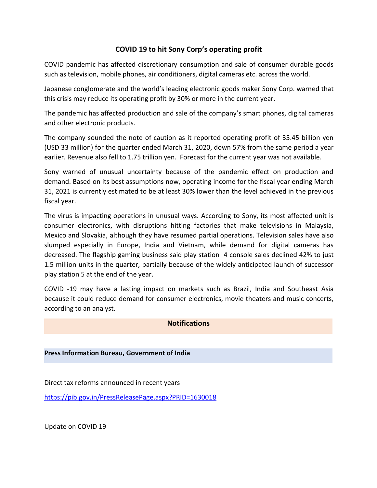## **COVID 19 to hit Sony Corp's operating profit**

COVID pandemic has affected discretionary consumption and sale of consumer durable goods such as television, mobile phones, air conditioners, digital cameras etc. across the world.

Japanese conglomerate and the world's leading electronic goods maker Sony Corp. warned that this crisis may reduce its operating profit by 30% or more in the current year.

The pandemic has affected production and sale of the company's smart phones, digital cameras and other electronic products.

The company sounded the note of caution as it reported operating profit of 35.45 billion yen (USD 33 million) for the quarter ended March 31, 2020, down 57% from the same period a year earlier. Revenue also fell to 1.75 trillion yen. Forecast for the current year was not available.

Sony warned of unusual uncertainty because of the pandemic effect on production and demand. Based on its best assumptions now, operating income for the fiscal year ending March 31, 2021 is currently estimated to be at least 30% lower than the level achieved in the previous fiscal year.

The virus is impacting operations in unusual ways. According to Sony, its most affected unit is consumer electronics, with disruptions hitting factories that make televisions in Malaysia, Mexico and Slovakia, although they have resumed partial operations. Television sales have also slumped especially in Europe, India and Vietnam, while demand for digital cameras has decreased. The flagship gaming business said play station 4 console sales declined 42% to just 1.5 million units in the quarter, partially because of the widely anticipated launch of successor play station 5 at the end of the year.

COVID -19 may have a lasting impact on markets such as Brazil, India and Southeast Asia because it could reduce demand for consumer electronics, movie theaters and music concerts, according to an analyst.

## **Notifications**

## **Press Information Bureau, Government of India**

Direct tax reforms announced in recent years

<https://pib.gov.in/PressReleasePage.aspx?PRID=1630018>

Update on COVID 19